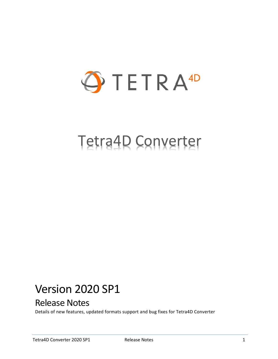

# Tetra4D Converter

# Version 2020 SP1

# Release Notes

Details of new features, updated formats support and bug fixes for Tetra4D Converter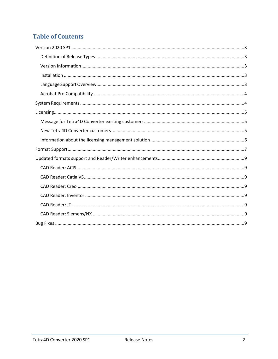## **Table of Contents**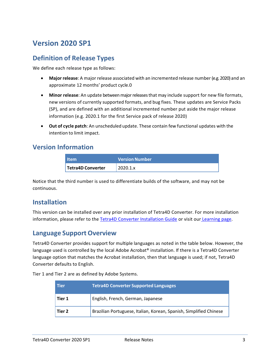## <span id="page-2-0"></span>**Version 2020 SP1**

#### <span id="page-2-1"></span>**Definition of Release Types**

We define each release type as follows:

- **Major release**: A major release associated with an incremented release number (e.g. 2020) and an approximate 12 months' product cycle.0
- **Minor release**: An update betweenmajorreleasesthat may include support for new file formats, new versions of currently supported formats, and bug fixes. These updates are Service Packs (SP), and are defined with an additional incremented number put aside the major release information (e.g. 2020.1 for the first Service pack of release 2020)
- **Out of cycle patch**: An unscheduled update. These contain few functional updates with the intention to limit impact.

#### <span id="page-2-2"></span>**Version Information**

| <b>Item</b>       | <b>Version Number</b> |
|-------------------|-----------------------|
| Tetra4D Converter | 2020.1.x              |

Notice that the third number is used to differentiate builds of the software, and may not be continuous.

#### <span id="page-2-3"></span>**Installation**

This version can be installed over any prior installation of Tetra4D Converter. For more installation information, please refer to the [Tetra4D Converter Installation Guide](http://www.tetra4d.com/documentation/) or visit our [Learning](http://tetra4d.com/learning/) page.

#### <span id="page-2-4"></span>**Language Support Overview**

Tetra4D Converter provides support for multiple languages as noted in the table below. However, the language used is controlled by the local Adobe Acrobat® installation. If there is a Tetra4D Converter language option that matches the Acrobat installation, then that language is used; if not, Tetra4D Converter defaults to English.

Tier 1 and Tier 2 are as defined by Adobe Systems.

| <b>Tier</b> | <b>Tetra4D Converter Supported Languages</b>                       |
|-------------|--------------------------------------------------------------------|
| Tier 1      | English, French, German, Japanese                                  |
| Tier 2      | Brazilian Portuguese, Italian, Korean, Spanish, Simplified Chinese |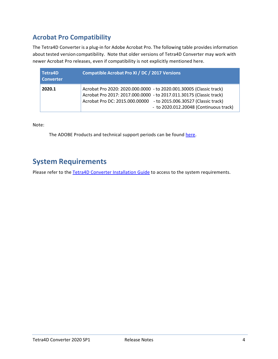## <span id="page-3-0"></span>**Acrobat Pro Compatibility**

The Tetra4D Converter is a plug-in for Adobe Acrobat Pro. The following table provides information about tested version compatibility. Note that older versions of Tetra4D Converter may work with newer Acrobat Pro releases, even if compatibility is not explicitly mentioned here.

| Tetra4D<br><b>Converter</b> | Compatible Acrobat Pro XI / DC / 2017 Versions                                                                                                                                                                                                             |
|-----------------------------|------------------------------------------------------------------------------------------------------------------------------------------------------------------------------------------------------------------------------------------------------------|
| 2020.1                      | Acrobat Pro 2020: 2020.000.0000 - to 2020.001.30005 (Classic track)<br>Acrobat Pro 2017: 2017.000.0000 - to 2017.011.30175 (Classic track)<br>Acrobat Pro DC: 2015.000.00000 - to 2015.006.30527 (Classic track)<br>- to 2020.012.20048 (Continuous track) |

Note:

The ADOBE Products and technical support periods can be found [here.](https://helpx.adobe.com/support/programs/eol-matrix.html)

## <span id="page-3-1"></span>**System Requirements**

Please refer to the [Tetra4D Converter Installation Guide](http://www.tetra4d.com/documentation/) to access to the system requirements.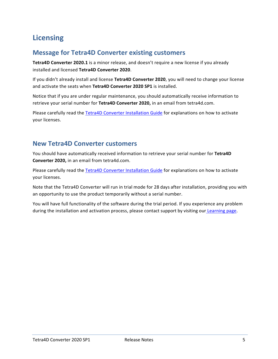## <span id="page-4-0"></span>**Licensing**

#### <span id="page-4-1"></span>**Message for Tetra4D Converter existing customers**

**Tetra4D Converter 2020.1** is a minor release, and doesn't require a new license if you already installed and licensed **Tetra4D Converter 2020**.

If you didn't already install and license **Tetra4D Converter 2020**, you will need to change your license and activate the seats when **Tetra4D Converter 2020 SP1** is installed.

Notice that if you are under regular maintenance, you should automatically receive information to retrieve your serial number for **Tetra4D Converter 2020,** in an email from tetra4d.com.

Please carefully read the [Tetra4D Converter Installation Guide](http://www.tetra4d.com/documentation/) for explanations on how to activate your licenses.

#### <span id="page-4-2"></span>**New Tetra4D Converter customers**

You should have automatically received information to retrieve your serial number for **Tetra4D Converter 2020,** in an email from tetra4d.com.

Please carefully read the [Tetra4D Converter Installation Guide](http://www.tetra4d.com/documentation/) for explanations on how to activate your licenses.

Note that the Tetra4D Converter will run in trial mode for 28 days after installation, providing you with an opportunity to use the product temporarily without a serial number.

You will have full functionality of the software during the trial period. If you experience any problem during the installation and activation process, please contact support by visiting our [Learning page.](http://tetra4d.com/learning/)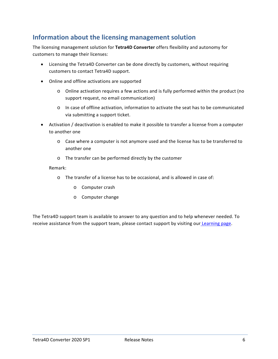### <span id="page-5-0"></span>**Information about the licensing management solution**

The licensing management solution for **Tetra4D Converter** offers flexibility and autonomy for customers to manage their licenses:

- Licensing the Tetra4D Converter can be done directly by customers, without requiring customers to contact Tetra4D support.
- Online and offline activations are supported
	- o Online activation requires a few actions and is fully performed within the product (no support request, no email communication)
	- o In case of offline activation, information to activate the seat has to be communicated via submitting a support ticket.
- Activation / deactivation is enabled to make it possible to transfer a license from a computer to another one
	- o Case where a computer is not anymore used and the license has to be transferred to another one
	- o The transfer can be performed directly by the customer

#### Remark:

- o The transfer of a license has to be occasional, and is allowed in case of:
	- o Computer crash
	- o Computer change

The Tetra4D support team is available to answer to any question and to help whenever needed. To receive assistance from the support team, please contact support by visiting our [Learning page.](http://tetra4d.com/learning/)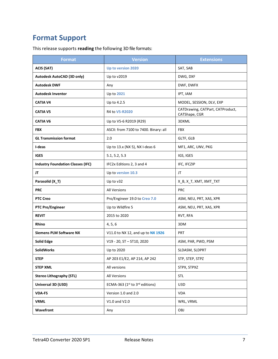# <span id="page-6-0"></span>**Format Support**

This release supports **reading** the following 3D file formats:

| <b>Format</b>                            | <b>Version</b>                        | <b>Extensions</b>                                 |
|------------------------------------------|---------------------------------------|---------------------------------------------------|
| <b>ACIS (SAT)</b>                        | Up to version 2020                    | SAT, SAB                                          |
| Autodesk AutoCAD (3D only)               | Up to v2019                           | DWG, DXF                                          |
| <b>Autodesk DWF</b>                      | Any                                   | DWF, DWFX                                         |
| <b>Autodesk Inventor</b>                 | Up to 2021                            | IPT, IAM                                          |
| <b>CATIA V4</b>                          | Up to 4.2.5                           | MODEL, SESSION, DLV, EXP                          |
| <b>CATIA V5</b>                          | R4 to V5-R2020                        | CATDrawing, CATPart, CATProduct,<br>CATShape, CGR |
| <b>CATIA V6</b>                          | Up to V5-6 R2019 (R29)                | 3DXML                                             |
| <b>FBX</b>                               | ASCII: from 7100 to 7400. Binary: all | <b>FBX</b>                                        |
| <b>GL Transmission format</b>            | 2.0                                   | GLTF, GLB                                         |
| I-deas                                   | Up to 13.x (NX 5), NX I-deas 6        | MF1, ARC, UNV, PKG                                |
| <b>IGES</b>                              | 5.1, 5.2, 5.3                         | IGS, IGES                                         |
| <b>Industry Foundation Classes (IFC)</b> | IFC2x Editions 2, 3 and 4             | IFC, IFCZIP                                       |
| JT                                       | Up to version 10.3                    | JT                                                |
| Parasolid (X_T)                          | Up to v32                             | X_B, X_T, XMT, XMT_TXT                            |
| <b>PRC</b>                               | <b>All Versions</b>                   | <b>PRC</b>                                        |
| <b>PTC Creo</b>                          | Pro/Engineer 19.0 to Creo 7.0         | ASM, NEU, PRT, XAS, XPR                           |
| <b>PTC Pro/Engineer</b>                  | Up to Wildfire 5                      | ASM, NEU, PRT, XAS, XPR                           |
| <b>REVIT</b>                             | 2015 to 2020                          | RVT, RFA                                          |
| <b>Rhino</b>                             | 4, 5, 6                               | 3DM                                               |
| <b>Siemens PLM Software NX</b>           | V11.0 to NX 12, and up to NX 1926     | PRT                                               |
| <b>Solid Edge</b>                        | V19 - 20, ST - ST10, 2020             | ASM, PAR, PWD, PSM                                |
| <b>SolidWorks</b>                        | Up to 2020                            | SLDASM, SLDPRT                                    |
| <b>STEP</b>                              | AP 203 E1/E2, AP 214, AP 242          | STP, STEP, STPZ                                   |
| <b>STEP XML</b>                          | All versions                          | STPX, STPXZ                                       |
| <b>Stereo Lithography (STL)</b>          | All Versions                          | <b>STL</b>                                        |
| Universal 3D (U3D)                       | ECMA-363 (1st to 3rd editions)        | U3D                                               |
| <b>VDA-FS</b>                            | Version 1.0 and 2.0                   | <b>VDA</b>                                        |
| <b>VRML</b>                              | V1.0 and V2.0                         | WRL, VRML                                         |
| Wavefront                                | Any                                   | OBJ                                               |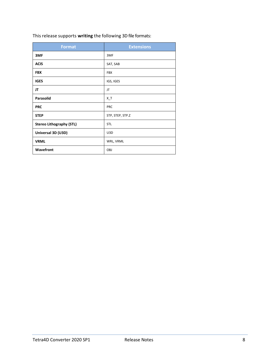| This release supports writing the following 3D file formats: |  |  |
|--------------------------------------------------------------|--|--|
|--------------------------------------------------------------|--|--|

| <b>Format</b>                   | <b>Extensions</b> |
|---------------------------------|-------------------|
| 3MF                             | 3MF               |
| <b>ACIS</b>                     | SAT, SAB          |
| <b>FBX</b>                      | <b>FBX</b>        |
| <b>IGES</b>                     | IGS, IGES         |
| JT                              | JT                |
| Parasolid                       | $X_{-}$ T         |
| <b>PRC</b>                      | <b>PRC</b>        |
| <b>STEP</b>                     | STP, STEP, STP.Z  |
| <b>Stereo Lithography (STL)</b> | STL               |
| Universal 3D (U3D)              | U3D               |
| <b>VRML</b>                     | WRL, VRML         |
| Wavefront                       | OBJ               |